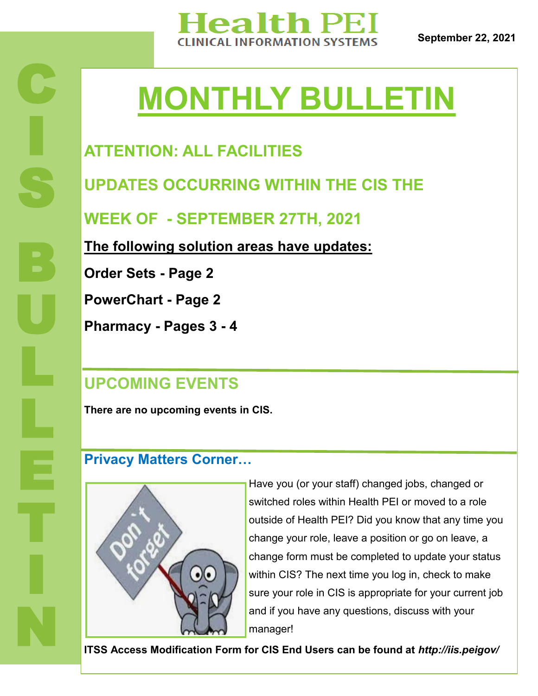

**September 22, 2021**

# **MONTHLY BULLETIN**

## **ATTENTION: ALL FACILITIES**

**UPDATES OCCURRING WITHIN THE CIS THE** 

**WEEK OF - SEPTEMBER 27TH, 2021**

**The following solution areas have updates:**

**Order Sets - Page 2**

**PowerChart - Page 2** 

**Pharmacy - Pages 3 - 4**

## **UPCOMING EVENTS**

**There are no upcoming events in CIS.** 

#### **Privacy Matters Corner…**



Have you (or your staff) changed jobs, changed or switched roles within Health PEI or moved to a role outside of Health PEI? Did you know that any time you change your role, leave a position or go on leave, a change form must be completed to update your status within CIS? The next time you log in, check to make sure your role in CIS is appropriate for your current job and if you have any questions, discuss with your manager!

**ITSS Access Modification Form for CIS End Users can be found at** *http://iis.peigov/*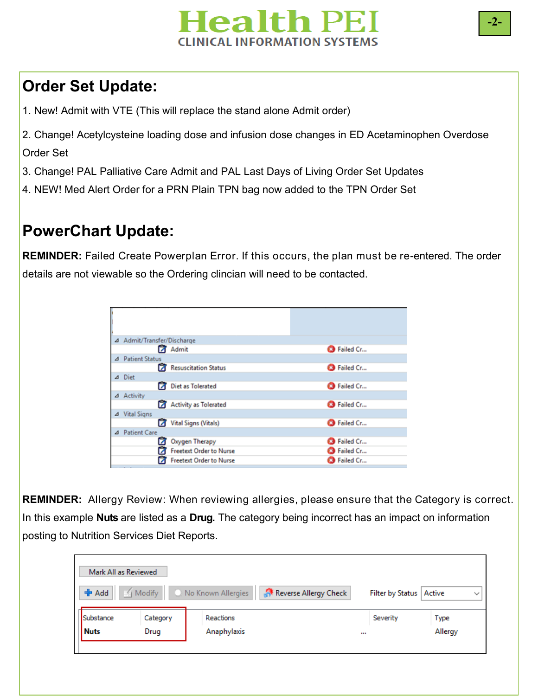

## **Order Set Update:**

1. New! Admit with VTE (This will replace the stand alone Admit order)

2. Change! Acetylcysteine loading dose and infusion dose changes in ED Acetaminophen Overdose Order Set

- 3. Change! PAL Palliative Care Admit and PAL Last Days of Living Order Set Updates
- 4. NEW! Med Alert Order for a PRN Plain TPN bag now added to the TPN Order Set

#### **PowerChart Update:**

**REMINDER:** Failed Create Powerplan Error. If this occurs, the plan must be re-entered. The order details are not viewable so the Ordering clincian will need to be contacted.

| 4 Admit/Transfer/Discharge     |                        |  |  |  |  |  |  |  |
|--------------------------------|------------------------|--|--|--|--|--|--|--|
| Admit                          | <sup>3</sup> Failed Cr |  |  |  |  |  |  |  |
|                                |                        |  |  |  |  |  |  |  |
| Resuscitation Status           | <sup>3</sup> Failed Cr |  |  |  |  |  |  |  |
|                                |                        |  |  |  |  |  |  |  |
|                                | <sup>3</sup> Failed Cr |  |  |  |  |  |  |  |
|                                |                        |  |  |  |  |  |  |  |
| <b>Activity as Tolerated</b>   | <sup>3</sup> Failed Cr |  |  |  |  |  |  |  |
|                                |                        |  |  |  |  |  |  |  |
| Vital Signs (Vitals)           | <sup>3</sup> Failed Cr |  |  |  |  |  |  |  |
|                                |                        |  |  |  |  |  |  |  |
| Oxygen Therapy                 | <sup>3</sup> Failed Cr |  |  |  |  |  |  |  |
| <b>Freetext Order to Nurse</b> | <sup>3</sup> Failed Cr |  |  |  |  |  |  |  |
| <b>Freetext Order to Nurse</b> | Failed Cr              |  |  |  |  |  |  |  |
|                                | Diet as Tolerated      |  |  |  |  |  |  |  |

**REMINDER:** Allergy Review: When reviewing allergies, please ensure that the Category is correct. In this example **Nuts** are listed as a **Drug.** The category being incorrect has an impact on information posting to Nutrition Services Diet Reports.

| Mark All as Reviewed |          |                                                         |                           |         |
|----------------------|----------|---------------------------------------------------------|---------------------------|---------|
| <b>+</b> Add         |          | Modify   C. No Known Allergies<br>Reverse Allergy Check | Filter by Status   Active |         |
| Substance            | Category | Reactions                                               | Severity                  | Type    |
| <b>Nuts</b>          | Drug     | Anaphylaxis                                             | $\cdots$                  | Allergy |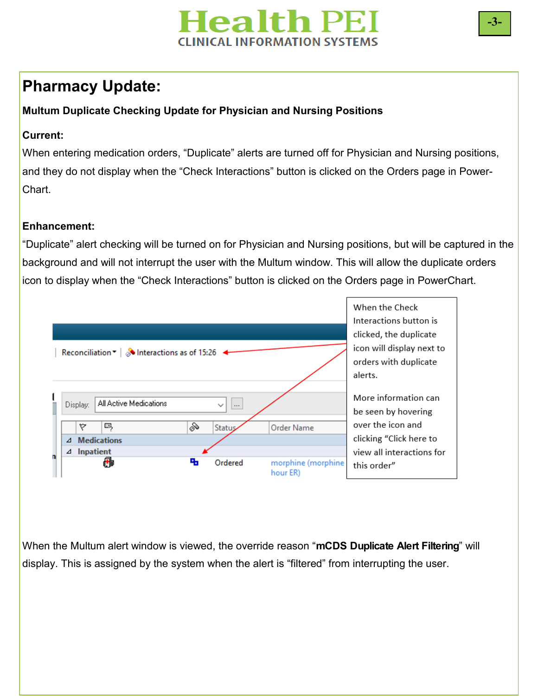

#### **Pharmacy Update:**

#### **Multum Duplicate Checking Update for Physician and Nursing Positions**

#### **Current:**

When entering medication orders, "Duplicate" alerts are turned off for Physician and Nursing positions, and they do not display when the "Check Interactions" button is clicked on the Orders page in Power-Chart.

#### **Enhancement:**

"Duplicate" alert checking will be turned on for Physician and Nursing positions, but will be captured in the background and will not interrupt the user with the Multum window. This will allow the duplicate orders icon to display when the "Check Interactions" button is clicked on the Orders page in PowerChart.



When the Multum alert window is viewed, the override reason "**mCDS Duplicate Alert Filtering**" will display. This is assigned by the system when the alert is "filtered" from interrupting the user.